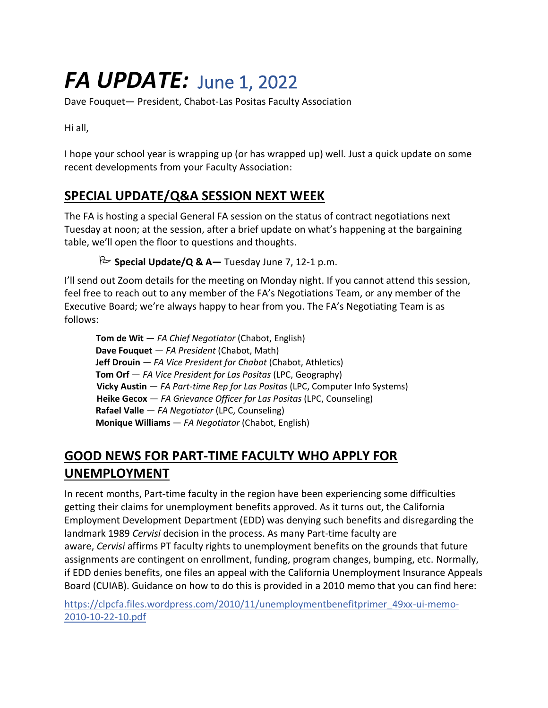# *FA UPDATE:*June 1, 2022

Dave Fouquet— President, Chabot-Las Positas Faculty Association

Hi all,

I hope your school year is wrapping up (or has wrapped up) well. Just a quick update on some recent developments from your Faculty Association:

#### **SPECIAL UPDATE/Q&A SESSION NEXT WEEK**

The FA is hosting a special General FA session on the status of contract negotiations next Tuesday at noon; at the session, after a brief update on what's happening at the bargaining table, we'll open the floor to questions and thoughts.

**Special Update/Q & A—** Tuesday June 7, 12-1 p.m.

I'll send out Zoom details for the meeting on Monday night. If you cannot attend this session, feel free to reach out to any member of the FA's Negotiations Team, or any member of the Executive Board; we're always happy to hear from you. The FA's Negotiating Team is as follows:

 **Tom de Wit** — *FA Chief Negotiator* (Chabot, English) **Dave Fouquet** — *FA President* (Chabot, Math) **Jeff Drouin** — *FA Vice President for Chabot* (Chabot, Athletics) **Tom Orf** — *FA Vice President for Las Positas* (LPC, Geography) **Vicky Austin** — *FA Part-time Rep for Las Positas* (LPC, Computer Info Systems) **Heike Gecox** — *FA Grievance Officer for Las Positas* (LPC, Counseling) **Rafael Valle** — *FA Negotiator* (LPC, Counseling) **Monique Williams** — *FA Negotiator* (Chabot, English)

## **GOOD NEWS FOR PART-TIME FACULTY WHO APPLY FOR UNEMPLOYMENT**

In recent months, Part-time faculty in the region have been experiencing some difficulties getting their claims for unemployment benefits approved. As it turns out, the California Employment Development Department (EDD) was denying such benefits and disregarding the landmark 1989 *Cervisi* decision in the process. As many Part-time faculty are aware, *Cervisi* affirms PT faculty rights to unemployment benefits on the grounds that future assignments are contingent on enrollment, funding, program changes, bumping, etc. Normally, if EDD denies benefits, one files an appeal with the California Unemployment Insurance Appeals Board (CUIAB). Guidance on how to do this is provided in a 2010 memo that you can find here:

[https://clpcfa.files.wordpress.com/2010/11/unemploymentbenefitprimer\\_49xx-ui-memo-](https://clpcfa.files.wordpress.com/2010/11/unemploymentbenefitprimer_49xx-ui-memo-2010-10-22-10.pdf)[2010-10-22-10.pdf](https://clpcfa.files.wordpress.com/2010/11/unemploymentbenefitprimer_49xx-ui-memo-2010-10-22-10.pdf)